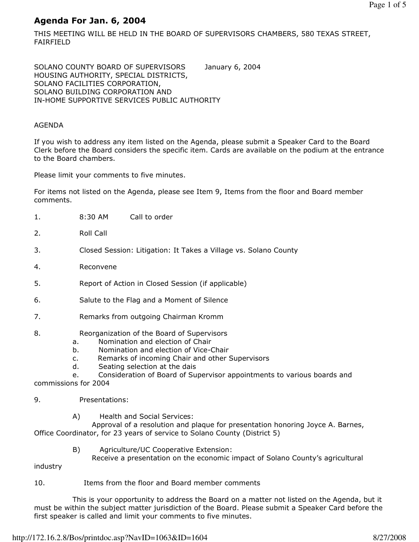# Agenda For Jan. 6, 2004

THIS MEETING WILL BE HELD IN THE BOARD OF SUPERVISORS CHAMBERS, 580 TEXAS STREET, FAIRFIELD

SOLANO COUNTY BOARD OF SUPERVISORS January 6, 2004 HOUSING AUTHORITY, SPECIAL DISTRICTS, SOLANO FACILITIES CORPORATION, SOLANO BUILDING CORPORATION AND IN-HOME SUPPORTIVE SERVICES PUBLIC AUTHORITY

## AGENDA

If you wish to address any item listed on the Agenda, please submit a Speaker Card to the Board Clerk before the Board considers the specific item. Cards are available on the podium at the entrance to the Board chambers.

Please limit your comments to five minutes.

For items not listed on the Agenda, please see Item 9, Items from the floor and Board member comments.

- 1. 8:30 AM Call to order
- 2. Roll Call
- 3. Closed Session: Litigation: It Takes a Village vs. Solano County
- 4. Reconvene
- 5. Report of Action in Closed Session (if applicable)
- 6. Salute to the Flag and a Moment of Silence
- 7. Remarks from outgoing Chairman Kromm

## 8. Reorganization of the Board of Supervisors

- a. Nomination and election of Chair
- b. Nomination and election of Vice-Chair
- c. Remarks of incoming Chair and other Supervisors
- d. Seating selection at the dais
- e. Consideration of Board of Supervisor appointments to various boards and commissions for 2004
- 
- 9. Presentations:
	- A) Health and Social Services:

 Approval of a resolution and plaque for presentation honoring Joyce A. Barnes, Office Coordinator, for 23 years of service to Solano County (District 5)

B) Agriculture/UC Cooperative Extension:

Receive a presentation on the economic impact of Solano County's agricultural

industry

10. Items from the floor and Board member comments

 This is your opportunity to address the Board on a matter not listed on the Agenda, but it must be within the subject matter jurisdiction of the Board. Please submit a Speaker Card before the first speaker is called and limit your comments to five minutes.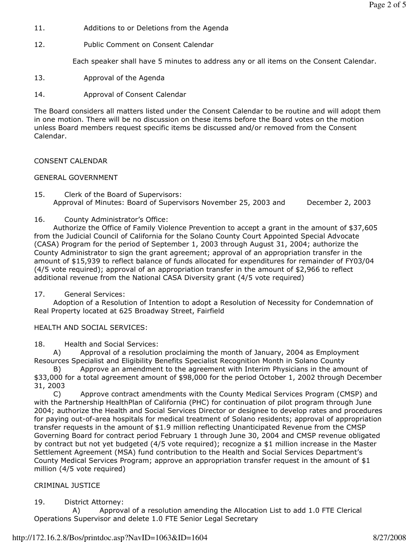- 11. Additions to or Deletions from the Agenda
- 12. Public Comment on Consent Calendar

Each speaker shall have 5 minutes to address any or all items on the Consent Calendar.

13. Approval of the Agenda

14. Approval of Consent Calendar

The Board considers all matters listed under the Consent Calendar to be routine and will adopt them in one motion. There will be no discussion on these items before the Board votes on the motion unless Board members request specific items be discussed and/or removed from the Consent Calendar.

CONSENT CALENDAR

# GENERAL GOVERNMENT

15. Clerk of the Board of Supervisors: Approval of Minutes: Board of Supervisors November 25, 2003 and December 2, 2003

16. County Administrator's Office:

 Authorize the Office of Family Violence Prevention to accept a grant in the amount of \$37,605 from the Judicial Council of California for the Solano County Court Appointed Special Advocate (CASA) Program for the period of September 1, 2003 through August 31, 2004; authorize the County Administrator to sign the grant agreement; approval of an appropriation transfer in the amount of \$15,939 to reflect balance of funds allocated for expenditures for remainder of FY03/04  $(4/5$  vote required); approval of an appropriation transfer in the amount of \$2,966 to reflect additional revenue from the National CASA Diversity grant (4/5 vote required)

17. General Services:

 Adoption of a Resolution of Intention to adopt a Resolution of Necessity for Condemnation of Real Property located at 625 Broadway Street, Fairfield

HEALTH AND SOCIAL SERVICES:

18. Health and Social Services:

 A) Approval of a resolution proclaiming the month of January, 2004 as Employment Resources Specialist and Eligibility Benefits Specialist Recognition Month in Solano County

 B) Approve an amendment to the agreement with Interim Physicians in the amount of \$33,000 for a total agreement amount of \$98,000 for the period October 1, 2002 through December 31, 2003

 C) Approve contract amendments with the County Medical Services Program (CMSP) and with the Partnership HealthPlan of California (PHC) for continuation of pilot program through June 2004; authorize the Health and Social Services Director or designee to develop rates and procedures for paying out-of-area hospitals for medical treatment of Solano residents; approval of appropriation transfer requests in the amount of \$1.9 million reflecting Unanticipated Revenue from the CMSP Governing Board for contract period February 1 through June 30, 2004 and CMSP revenue obligated by contract but not yet budgeted (4/5 vote required); recognize a \$1 million increase in the Master Settlement Agreement (MSA) fund contribution to the Health and Social Services Department's County Medical Services Program; approve an appropriation transfer request in the amount of \$1 million (4/5 vote required)

# CRIMINAL JUSTICE

19. District Attorney:

 A) Approval of a resolution amending the Allocation List to add 1.0 FTE Clerical Operations Supervisor and delete 1.0 FTE Senior Legal Secretary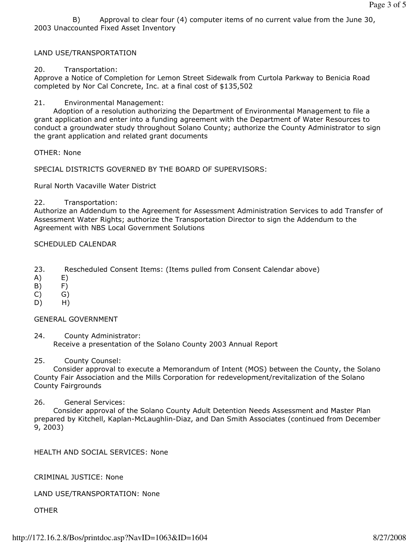B) Approval to clear four (4) computer items of no current value from the June 30, 2003 Unaccounted Fixed Asset Inventory

#### LAND USE/TRANSPORTATION

#### 20. Transportation:

Approve a Notice of Completion for Lemon Street Sidewalk from Curtola Parkway to Benicia Road completed by Nor Cal Concrete, Inc. at a final cost of \$135,502

21. Environmental Management:

 Adoption of a resolution authorizing the Department of Environmental Management to file a grant application and enter into a funding agreement with the Department of Water Resources to conduct a groundwater study throughout Solano County; authorize the County Administrator to sign the grant application and related grant documents

OTHER: None

SPECIAL DISTRICTS GOVERNED BY THE BOARD OF SUPERVISORS:

Rural North Vacaville Water District

#### 22. Transportation:

Authorize an Addendum to the Agreement for Assessment Administration Services to add Transfer of Assessment Water Rights; authorize the Transportation Director to sign the Addendum to the Agreement with NBS Local Government Solutions

#### SCHEDULED CALENDAR

- 23. Rescheduled Consent Items: (Items pulled from Consent Calendar above)
- A) E)
- B) F)
- C) G)
- D) H)

#### GENERAL GOVERNMENT

24. County Administrator: Receive a presentation of the Solano County 2003 Annual Report

## 25. County Counsel:

 Consider approval to execute a Memorandum of Intent (MOS) between the County, the Solano County Fair Association and the Mills Corporation for redevelopment/revitalization of the Solano County Fairgrounds

#### 26. General Services:

 Consider approval of the Solano County Adult Detention Needs Assessment and Master Plan prepared by Kitchell, Kaplan-McLaughlin-Diaz, and Dan Smith Associates (continued from December 9, 2003)

HEALTH AND SOCIAL SERVICES: None

## CRIMINAL JUSTICE: None

## LAND USE/TRANSPORTATION: None

OTHER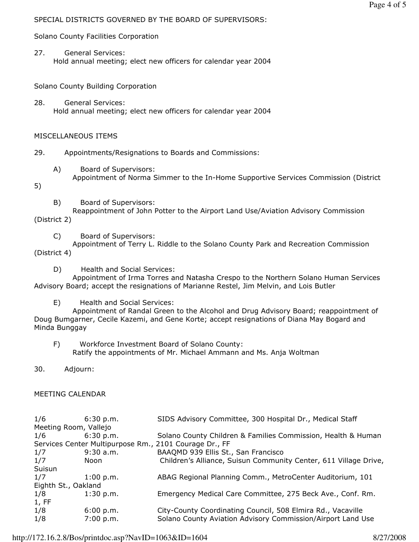# SPECIAL DISTRICTS GOVERNED BY THE BOARD OF SUPERVISORS:

Solano County Facilities Corporation

27. General Services: Hold annual meeting; elect new officers for calendar year 2004

Solano County Building Corporation

28. General Services: Hold annual meeting; elect new officers for calendar year 2004

# MISCELLANEOUS ITEMS

29. Appointments/Resignations to Boards and Commissions:

- A) Board of Supervisors:
- Appointment of Norma Simmer to the In-Home Supportive Services Commission (District

5)

B) Board of Supervisors:

 Reappointment of John Potter to the Airport Land Use/Aviation Advisory Commission (District 2)

C) Board of Supervisors:

 Appointment of Terry L. Riddle to the Solano County Park and Recreation Commission (District 4)

D) Health and Social Services:

 Appointment of Irma Torres and Natasha Crespo to the Northern Solano Human Services Advisory Board; accept the resignations of Marianne Restel, Jim Melvin, and Lois Butler

E) Health and Social Services:

 Appointment of Randal Green to the Alcohol and Drug Advisory Board; reappointment of Doug Bumgarner, Cecile Kazemi, and Gene Korte; accept resignations of Diana May Bogard and Minda Bunggay

 F) Workforce Investment Board of Solano County: Ratify the appointments of Mr. Michael Ammann and Ms. Anja Woltman

30. Adjourn:

# MEETING CALENDAR

| 1/6                                                    | 6:30 p.m.   | SIDS Advisory Committee, 300 Hospital Dr., Medical Staff         |
|--------------------------------------------------------|-------------|------------------------------------------------------------------|
| Meeting Room, Vallejo                                  |             |                                                                  |
| 1/6                                                    | 6:30 p.m.   | Solano County Children & Families Commission, Health & Human     |
| Services Center Multipurpose Rm., 2101 Courage Dr., FF |             |                                                                  |
| 1/7                                                    | $9:30$ a.m. | BAAQMD 939 Ellis St., San Francisco                              |
| 1/7                                                    | Noon        | Children's Alliance, Suisun Community Center, 611 Village Drive, |
| Suisun                                                 |             |                                                                  |
| 1/7                                                    | 1:00 p.m.   | ABAG Regional Planning Comm., MetroCenter Auditorium, 101        |
| Eighth St., Oakland                                    |             |                                                                  |
| 1/8                                                    | 1:30 p.m.   | Emergency Medical Care Committee, 275 Beck Ave., Conf. Rm.       |
| 1, FF                                                  |             |                                                                  |
| 1/8                                                    | 6:00 p.m.   | City-County Coordinating Council, 508 Elmira Rd., Vacaville      |
| 1/8                                                    | 7:00 p.m.   | Solano County Aviation Advisory Commission/Airport Land Use      |

http://172.16.2.8/Bos/printdoc.asp?NavID=1063&ID=1604 8/27/2008